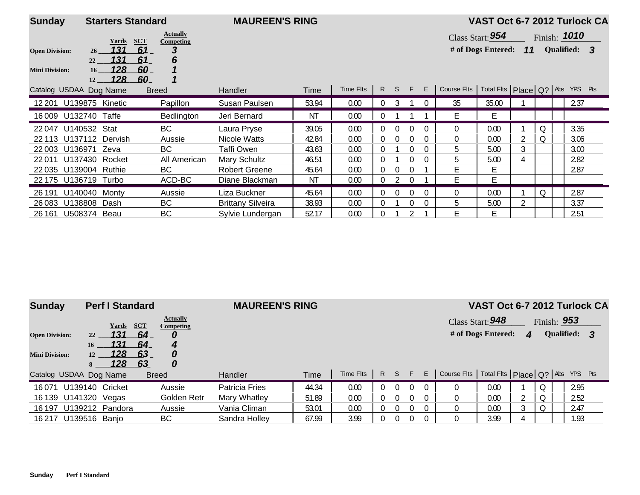| <b>Sunday</b>                                  |                | <b>Starters Standard</b>                 |                                                          | <b>MAUREEN'S RING</b>    |       |                 |          |                |          |          |                                                         | VAST Oct 6-7 2012 Turlock CA           |    |   |                              |  |
|------------------------------------------------|----------------|------------------------------------------|----------------------------------------------------------|--------------------------|-------|-----------------|----------|----------------|----------|----------|---------------------------------------------------------|----------------------------------------|----|---|------------------------------|--|
| <b>Open Division:</b><br><b>Mini Division:</b> | 26<br>22<br>16 | <b>SCT</b><br>Yards<br>131<br>131<br>128 | <b>Actually</b><br>Competing<br>61<br>3<br>61<br>6<br>60 |                          |       |                 |          |                |          |          |                                                         | Class Start: 954<br># of Dogs Entered: | 11 |   | Finish: 1010<br>Qualified: 3 |  |
| Catalog USDAA Dog Name                         | 12             | <u> 128 </u>                             | 60<br><b>Breed</b>                                       | <b>Handler</b>           | Time  | Time Flts R S F |          |                |          |          | E   Course Flts   Total Flts   Place   Q?   Abs YPS Pts |                                        |    |   |                              |  |
| 12 201                                         |                | U139875 Kinetic                          | Papillon                                                 | Susan Paulsen            | 53.94 | 0.00            | $\Omega$ | 3              |          | $\Omega$ | 35                                                      | 35.00                                  |    |   | 2.37                         |  |
| 16 009 U132740 Taffe                           |                |                                          | Bedlington                                               | Jeri Bernard             | ΝT    | 0.00            | $\Omega$ |                |          |          | F                                                       | F                                      |    |   |                              |  |
| 22047                                          | U140532 Stat   |                                          | BC                                                       | Laura Pryse              | 39.05 | 0.00            | $\Omega$ | $\Omega$       | $\Omega$ |          | 0                                                       | 0.00                                   |    | Q | 3.35                         |  |
| 22 113                                         |                | U137112 Dervish                          | Aussie                                                   | Nicole Watts             | 42.84 | 0.00            | $\Omega$ | $\overline{0}$ |          | $\Omega$ | $\Omega$                                                | 0.00                                   |    | Q | 3.06                         |  |
| 22 003                                         | U136971        | Zeva                                     | BC.                                                      | <b>Taffi Owen</b>        | 43.63 | 0.00            | 0        |                | 0        | $\Omega$ | 5                                                       | 5.00                                   | 3  |   | 3.00                         |  |
| 22011                                          |                | U137430 Rocket                           | All American                                             | <b>Mary Schultz</b>      | 46.51 | 0.00            | $\theta$ |                |          | $\Omega$ | 5                                                       | 5.00                                   |    |   | 2.82                         |  |
| 22035                                          |                | U139004 Ruthie                           | BC                                                       | <b>Robert Greene</b>     | 45.64 | 0.00            | $\Omega$ | 0              |          |          |                                                         | E.                                     |    |   | 2.87                         |  |
| 22 175                                         |                | U136719 Turbo                            | ACD-BC                                                   | Diane Blackman           | ΝT    | 0.00            | $\Omega$ |                | $\Omega$ |          | Е                                                       | E                                      |    |   |                              |  |
| 26 191                                         | U140040        | Montv                                    | Aussie                                                   | Liza Buckner             | 45.64 | 0.00            | $\Omega$ | 0              |          | $\Omega$ | 0                                                       | 0.00                                   |    | Q | 2.87                         |  |
| 26083                                          | U138808        | Dash                                     | BC                                                       | <b>Brittany Silveira</b> | 38.93 | 0.00            | 0        |                |          | $\Omega$ | 5                                                       | 5.00                                   |    |   | 3.37                         |  |
| 26 161                                         | U508374 Beau   |                                          | ВC                                                       | Sylvie Lundergan         | 52.17 | 0.00            | $\Omega$ |                |          |          |                                                         | E.                                     |    |   | 2.51                         |  |

| <b>Sunday</b>                                  |                            | <b>Perf I Standard</b>            |                                    |                                             |
|------------------------------------------------|----------------------------|-----------------------------------|------------------------------------|---------------------------------------------|
| <b>Open Division:</b><br><b>Mini Division:</b> | 22<br>16<br>12<br>8        | Yards<br>131<br>131<br>128<br>128 | <b>SCT</b><br>64<br>64<br>63<br>63 | <b>Actually</b><br>Competing<br>4<br>0<br>0 |
| Catalog USDAA Dog Name                         |                            |                                   |                                    | <b>Breed</b>                                |
| 16 071 U139140 Cricket                         |                            |                                   |                                    | Aussie                                      |
| 10 10 O                                        | $11444220 \frac{1}{2}6000$ |                                   |                                    | $C$ aldan $D$                               |

## **MAUREEN'S RING**

## **VAST Oct 6-7 2012 Turlock CA**

۰

| <b>Actually</b><br>Competing | Class Start: 948       | Finish: 953       |  |
|------------------------------|------------------------|-------------------|--|
| 0                            | $#$ of Dogs Entered: 4 | <b>Qualified:</b> |  |

|        |                        | <u>.</u> | .            |                |       |           |  |  |                                                     |      |  |      |  |
|--------|------------------------|----------|--------------|----------------|-------|-----------|--|--|-----------------------------------------------------|------|--|------|--|
|        | Catalog USDAA Dog Name |          | <b>Breed</b> | Handler        | Time  | Time Fits |  |  | Course Flts   Total Flts   Place   Q?   Abs YPS Pts |      |  |      |  |
| 16071  | U139140 Cricket        |          | Aussie       | Patricia Fries | 44.34 | 0.00      |  |  |                                                     | 0.00 |  | 2.95 |  |
|        | 16 139 U141320         | Vegas    | Golden Retr  | Mary Whatley   | 51.89 | 0.00      |  |  |                                                     | 0.00 |  | 2.52 |  |
| 16 197 | U139212                | Pandora  | Aussie       | Vania Climan   | 53.01 | 0.00      |  |  |                                                     | 0.00 |  | 2.47 |  |
| 16 217 | U139516                | Banio    | BС           | Sandra Holley  | 67.99 | 3.99      |  |  |                                                     | 3.99 |  | 1.93 |  |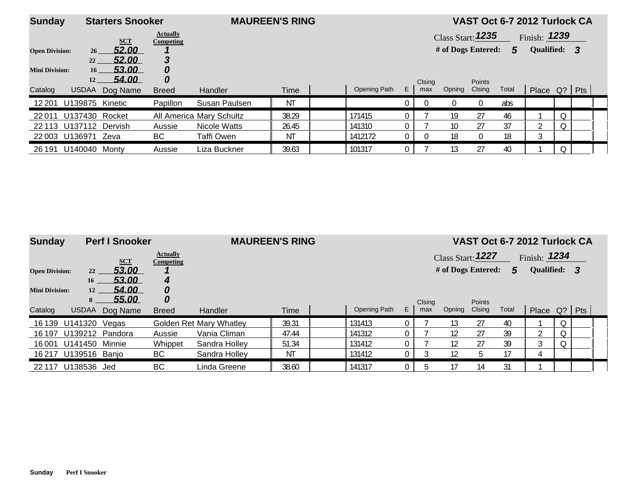| <b>Sunday</b>         |                    | <b>Starters Snooker</b> |                              | <b>MAUREEN'S RING</b>    |             |              |                |          |                    |               | VAST Oct 6-7 2012 Turlock CA |                |  |  |
|-----------------------|--------------------|-------------------------|------------------------------|--------------------------|-------------|--------------|----------------|----------|--------------------|---------------|------------------------------|----------------|--|--|
|                       |                    | <b>SCT</b>              | <b>Actually</b><br>Competing |                          |             |              |                |          | Class Start: 1235  |               |                              | Finish: $1239$ |  |  |
| <b>Open Division:</b> | 26 <sup>2</sup>    | 52.00                   |                              |                          |             |              |                |          | # of Dogs Entered: |               | 5                            | Qualified: 3   |  |  |
|                       | 22                 | 52.00                   | 3                            |                          |             |              |                |          |                    |               |                              |                |  |  |
| <b>Mini Division:</b> | 16 <sup>1</sup>    | 53.00                   | 0                            |                          |             |              |                |          |                    |               |                              |                |  |  |
|                       | 12                 | 54.00                   | 0                            |                          |             |              |                | Clsing   |                    | <b>Points</b> |                              |                |  |  |
| Catalog               | <b>USDAA</b>       | Dog Name                | <b>Breed</b>                 | <b>Handler</b>           | <b>Time</b> | Opening Path | E.             | max      | Opning             | Clsing        | Total                        | Place Q?   Pts |  |  |
| 12 201                | U139875 Kinetic    |                         | Papillon                     | Susan Paulsen            | <b>NT</b>   |              |                | $\Omega$ |                    | $\Omega$      | abs                          |                |  |  |
| 22011                 | U137430 Rocket     |                         |                              | All America Mary Schultz | 38.29       | 171415       |                |          | 19                 | 27            | 46                           |                |  |  |
|                       |                    | 22 113 U137112 Dervish  | Aussie                       | Nicole Watts             | 26.45       | 141310       |                |          | 10                 | 27            | 37                           | ኅ              |  |  |
|                       | 22003 U136971 Zeva |                         | BС                           | Taffi Owen               | ΝT          | 1412172      | $\overline{0}$ | $\Omega$ | 18                 | $\mathbf{0}$  | 18                           | 3              |  |  |
| 26 191                | U140040            | Montv                   | Aussie                       | Liza Buckner             | 39.63       | 101317       |                |          | 13                 | 27            | 40                           |                |  |  |

| <b>Sunday</b>         |                | <b>Perf I Snooker</b> |                              | <b>MAUREEN'S RING</b>   |       |              |    |        |                    |        |       | VAST Oct 6-7 2012 Turlock CA |  |  |
|-----------------------|----------------|-----------------------|------------------------------|-------------------------|-------|--------------|----|--------|--------------------|--------|-------|------------------------------|--|--|
|                       |                | <b>SCT</b>            | <b>Actually</b><br>Competing |                         |       |              |    |        | Class Start: 1227  |        |       | Finish: $1234$               |  |  |
| <b>Open Division:</b> | 22             | 53.00                 |                              |                         |       |              |    |        | # of Dogs Entered: |        | 5     | Qualified: 3                 |  |  |
|                       | 16             | 53.00                 | 4                            |                         |       |              |    |        |                    |        |       |                              |  |  |
| <b>Mini Division:</b> | 12             | 54.00                 | 0                            |                         |       |              |    |        |                    |        |       |                              |  |  |
|                       | 8              | <b>55.00</b>          | 0                            |                         |       |              |    | Clsing |                    | Points |       |                              |  |  |
| Catalog               | <b>USDAA</b>   | Dog Name              | <b>Breed</b>                 | Handler                 | Time  | Opening Path | E. | max    | Opning             | Clsing | Total | Place $Q?$ Pts               |  |  |
| 16 139                | U141320 Vegas  |                       |                              | Golden Ret Mary Whatley | 39.31 | 131413       |    |        | 13                 | 27     | 40    |                              |  |  |
| 16 197                |                | U139212 Pandora       | Aussie                       | Vania Climan            | 47.44 | 141312       |    |        | 12                 | 27     | 39    |                              |  |  |
| 16 001                | U141450 Minnie |                       | Whippet                      | Sandra Holley           | 51.34 | 131412       |    |        | 12                 | 27     | 39    | 3                            |  |  |
| 16 217                | U139516 Banjo  |                       | BC                           | Sandra Holley           | ΝT    | 131412       |    |        | 12                 | 5      | 17    |                              |  |  |
| 22 117                | U138536 Jed    |                       | <b>BC</b>                    | Linda Greene            | 38.60 | 141317       |    |        |                    | 14     | 31    |                              |  |  |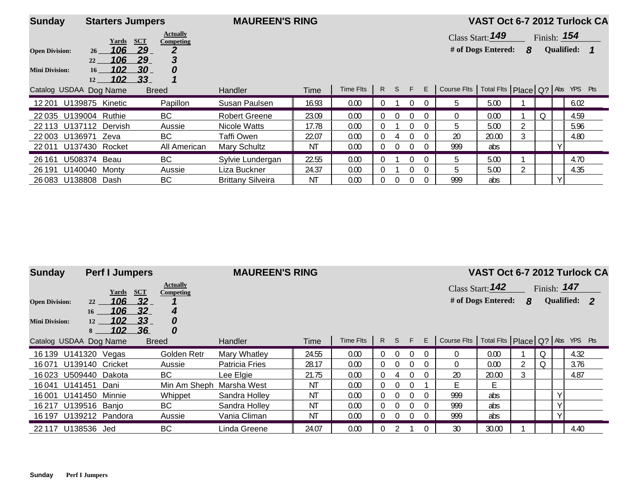| <b>Sunday</b>                                  |                                                           | <b>Starters Jumpers</b>                                                          | <b>MAUREEN'S RING</b>    |       |           |          |          |              |          |                                                     | VAST Oct 6-7 2012 Turlock CA           |   |               |                   |      |  |
|------------------------------------------------|-----------------------------------------------------------|----------------------------------------------------------------------------------|--------------------------|-------|-----------|----------|----------|--------------|----------|-----------------------------------------------------|----------------------------------------|---|---------------|-------------------|------|--|
| <b>Open Division:</b><br><b>Mini Division:</b> | Yards<br>106<br>26<br>106<br>22<br>102<br>16<br>102<br>12 | <b>Actually</b><br><b>SCT</b><br>Competing<br>29<br>29<br>3<br>-30.<br>0<br>_33_ |                          |       |           |          |          |              |          |                                                     | Class Start: 149<br># of Dogs Entered: | 8 | Finish: $154$ | <b>Qualified:</b> |      |  |
| Catalog USDAA Dog Name                         |                                                           | <b>Breed</b>                                                                     | <b>Handler</b>           | Time  | Time Flts |          |          | R S F        | E        | Course Fits   Total Fits   Place   Q?   Abs YPS Pts |                                        |   |               |                   |      |  |
| 12 201 U139875 Kinetic                         |                                                           | Papillon                                                                         | Susan Paulsen            | 16.93 | 0.00      | $\Omega$ |          | $\mathbf{0}$ | $\Omega$ | 5                                                   | 5.00                                   |   |               |                   | 6.02 |  |
| 22 035 U139004 Ruthie                          |                                                           | BC                                                                               | <b>Robert Greene</b>     | 23.09 | 0.00      | 0        | $\Omega$ | $\Omega$     | $\Omega$ | $\Omega$                                            | 0.00                                   |   | O.            |                   | 4.59 |  |
| 22 113 U137112 Dervish                         |                                                           | Aussie                                                                           | Nicole Watts             | 17.78 | 0.00      | 0        |          | $\Omega$     | $\Omega$ | 5.                                                  | 5.00                                   |   |               |                   | 5.96 |  |
| 22 003 U136971                                 | Zeva                                                      | BC                                                                               | Taffi Owen               | 22.07 | 0.00      | 0        |          | 0            | $\Omega$ | 20                                                  | 20.00                                  |   |               |                   | 4.80 |  |
| 22011 U137430 Rocket                           |                                                           | All American                                                                     | Mary Schultz             | ΝT    | 0.00      | 0        | $\Omega$ | 0            | 0        | 999                                                 | abs                                    |   |               |                   |      |  |
| 26 1 61                                        | U508374 Beau                                              | BC                                                                               | Sylvie Lundergan         | 22.55 | 0.00      | 0        |          |              | $\Omega$ | b.                                                  | 5.00                                   |   |               |                   | 4.70 |  |
| 26 191                                         | U140040 Monty                                             | Aussie                                                                           | Liza Buckner             | 24.37 | 0.00      | 0        |          | $\Omega$     | $\Omega$ | 5.                                                  | 5.00                                   |   |               |                   | 4.35 |  |
| 26 083 U138808 Dash                            |                                                           | <b>BC</b>                                                                        | <b>Brittany Silveira</b> | ΝT    | 0.00      | 0        |          | 0            | $\Omega$ | 999                                                 | abs                                    |   |               |                   |      |  |

| <b>Sunday</b>          |                | <b>Perf I Jumpers</b> |                             |                              | <b>MAUREEN'S RING</b> |       |           |          |          |              |          |                                                     | VAST Oct 6-7 2012 Turlock CA |   |               |   |              |  |
|------------------------|----------------|-----------------------|-----------------------------|------------------------------|-----------------------|-------|-----------|----------|----------|--------------|----------|-----------------------------------------------------|------------------------------|---|---------------|---|--------------|--|
|                        |                | Yards                 | <b>SCT</b>                  | <b>Actually</b><br>Competing |                       |       |           |          |          |              |          |                                                     | Class Start: 142             |   | Finish: $147$ |   |              |  |
| <b>Open Division:</b>  | 22             | 106                   | 32 <sub>2</sub>             |                              |                       |       |           |          |          |              |          |                                                     | # of Dogs Entered:           | 8 |               |   | Qualified: 2 |  |
| <b>Mini Division:</b>  | 16<br>12<br>8. | 106<br>102<br>102     | 32 <sub>2</sub><br>33<br>36 | 4<br>0<br>0                  |                       |       |           |          |          |              |          |                                                     |                              |   |               |   |              |  |
| Catalog USDAA Dog Name |                |                       |                             | <b>Breed</b>                 | Handler               | Time  | Time Flts |          | $R$ S    | F.           | E.       | Course Fits   Total Fits   Place   Q?   Abs YPS Pts |                              |   |               |   |              |  |
| 16 139 U141320 Vegas   |                |                       |                             | Golden Retr                  | Mary Whatley          | 24.55 | 0.00      | $\Omega$ | $\Omega$ | $\Omega$     |          | 0                                                   | 0.00                         |   | Q             |   | 4.32         |  |
| 16 071                 |                | U139140 Cricket       |                             | Aussie                       | <b>Patricia Fries</b> | 28.17 | 0.00      | $\Omega$ | $\Omega$ | $\theta$     | $\Omega$ | 0                                                   | 0.00                         |   | Q             |   | 3.76         |  |
| 16023                  | U509440 Dakota |                       |                             | BC                           | Lee Elgie             | 21.75 | 0.00      | $\Omega$ |          | $\Omega$     | $\Omega$ | 20                                                  | 20.00                        |   |               |   | 4.87         |  |
| U141451<br>16041       |                | Dani                  |                             | Min Am Sheph                 | Marsha West           | ΝT    | 0.00      | $\Omega$ |          | $\Omega$     |          | F.                                                  | E                            |   |               |   |              |  |
| 16 001                 | U141450 Minnie |                       |                             | Whippet                      | Sandra Holley         | ΝT    | 0.00      | $\Omega$ |          | $\Omega$     | $\Omega$ | 999                                                 | abs                          |   |               | V |              |  |
| 16 217                 | U139516 Banjo  |                       |                             | BC                           | Sandra Holley         | ΝT    | 0.00      | $\Omega$ | $\Omega$ | $\Omega$     | $\cup$   | 999                                                 | abs                          |   |               | V |              |  |
| 16 197 U139212 Pandora |                |                       |                             | Aussie                       | Vania Climan          | ΝT    | 0.00      | $\Omega$ | $\theta$ | $\mathbf{0}$ | $\cup$   | -999                                                | abs                          |   |               | ν |              |  |
| 22 117                 | U138536 Jed    |                       |                             | <b>BC</b>                    | Linda Greene          | 24.07 | 0.00      |          |          |              |          | 30                                                  | 30.00                        |   |               |   | 4.40         |  |